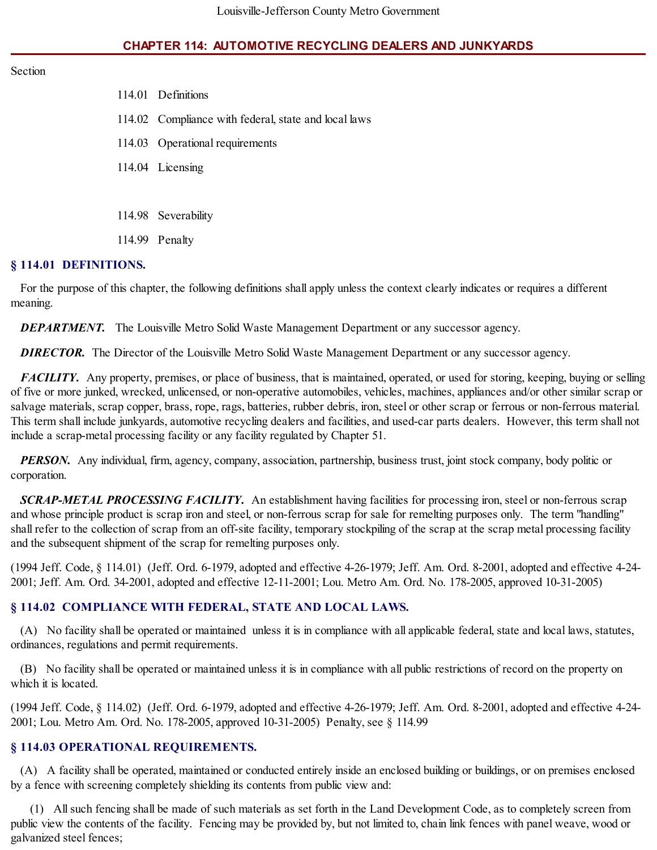### **CHAPTER 114: AUTOMOTIVE RECYCLING DEALERS AND JUNKYARDS**

#### Section

| 114.01 Definitions                                   |
|------------------------------------------------------|
| 114.02 Compliance with federal, state and local laws |
| 114.03 Operational requirements                      |
| 114.04 Licensing                                     |
|                                                      |
| 114.98 Severability                                  |

#### **§ 114.01 DEFINITIONS.**

114.99 Penalty

For the purpose of this chapter, the following definitions shall apply unless the context clearly indicates or requires a different meaning.

*DEPARTMENT.* The Louisville Metro Solid Waste Management Department or any successor agency.

**DIRECTOR.** The Director of the Louisville Metro Solid Waste Management Department or any successor agency.

*FACILITY*. Any property, premises, or place of business, that is maintained, operated, or used for storing, keeping, buying or selling of five or more junked, wrecked, unlicensed, or non-operative automobiles, vehicles, machines, appliances and/or other similar scrap or salvage materials, scrap copper, brass, rope, rags, batteries, rubber debris, iron, steel or other scrap or ferrous or non-ferrous material. This term shall include junkyards, automotive recycling dealers and facilities, and used-car parts dealers. However, this term shall not include a scrap-metal processing facility or any facility regulated by Chapter 51.

*PERSON*. Any individual, firm, agency, company, association, partnership, business trust, joint stock company, body politic or corporation.

*SCRAP-METAL PROCESSING FACILITY.* An establishment having facilities for processing iron, steel or non-ferrous scrap and whose principle product is scrap iron and steel, or non-ferrous scrap for sale for remelting purposes only. The term "handling" shall refer to the collection of scrap from an off-site facility, temporary stockpiling of the scrap at the scrap metal processing facility and the subsequent shipment of the scrap for remelting purposes only.

(1994 Jeff. Code, § 114.01) (Jeff. Ord. 6-1979, adopted and effective 4-26-1979; Jeff. Am. Ord. 8-2001, adopted and effective 4-24- 2001; Jeff. Am. Ord. 34-2001, adopted and effective 12-11-2001; Lou. Metro Am. Ord. No. 178-2005, approved 10-31-2005)

#### **§ 114.02 COMPLIANCE WITH FEDERAL, STATE AND LOCAL LAWS.**

(A) No facility shall be operated or maintained unless it is in compliance with all applicable federal, state and local laws, statutes, ordinances, regulations and permit requirements.

(B) No facility shall be operated or maintained unless it is in compliance with all public restrictions of record on the property on which it is located.

(1994 Jeff. Code, § 114.02) (Jeff. Ord. 6-1979, adopted and effective 4-26-1979; Jeff. Am. Ord. 8-2001, adopted and effective 4-24- 2001; Lou. Metro Am. Ord. No. 178-2005, approved 10-31-2005) Penalty, see § 114.99

#### **§ 114.03 OPERATIONAL REQUIREMENTS.**

(A) A facility shall be operated, maintained or conducted entirely inside an enclosed building or buildings, or on premises enclosed by a fence with screening completely shielding its contents from public view and:

(1) Allsuch fencing shall be made of such materials as set forth in the Land Development Code, as to completely screen from public view the contents of the facility. Fencing may be provided by, but not limited to, chain link fences with panel weave, wood or galvanized steel fences;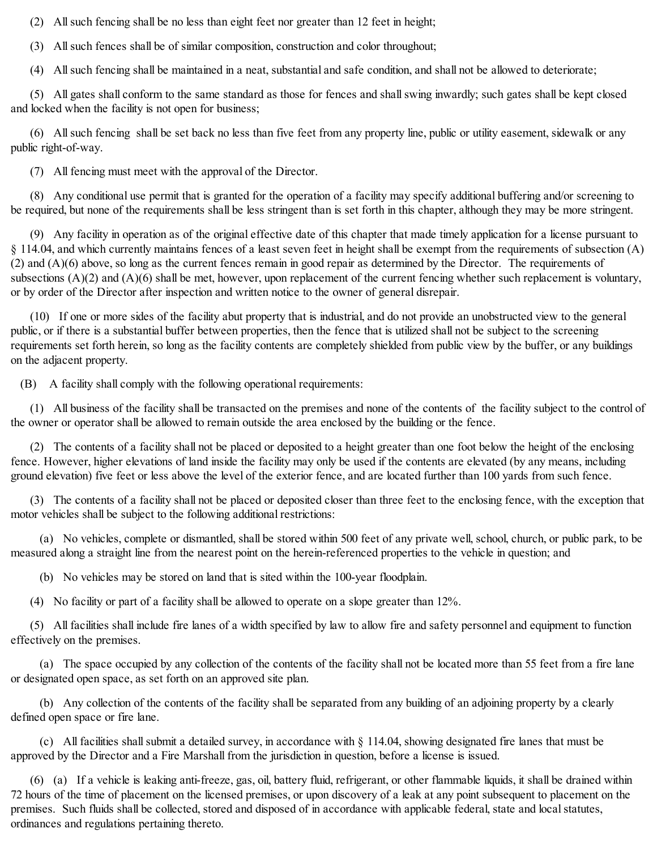(2) Allsuch fencing shall be no less than eight feet nor greater than 12 feet in height;

(3) Allsuch fences shall be of similar composition, construction and color throughout;

(4) Allsuch fencing shall be maintained in a neat, substantial and safe condition, and shall not be allowed to deteriorate;

(5) All gates shall conform to the same standard as those for fences and shallswing inwardly; such gates shall be kept closed and locked when the facility is not open for business;

(6) Allsuch fencing shall be set back no less than five feet from any property line, public or utility easement, sidewalk or any public right-of-way.

(7) All fencing must meet with the approval of the Director.

(8) Any conditional use permit that is granted for the operation of a facility may specify additional buffering and/or screening to be required, but none of the requirements shall be less stringent than is set forth in this chapter, although they may be more stringent.

(9) Any facility in operation as of the original effective date of this chapter that made timely application for a license pursuant to § 114.04, and which currently maintains fences of a least seven feet in height shall be exempt from the requirements of subsection (A) (2) and (A)(6) above, so long as the current fences remain in good repair as determined by the Director. The requirements of subsections  $(A)(2)$  and  $(A)(6)$  shall be met, however, upon replacement of the current fencing whether such replacement is voluntary, or by order of the Director after inspection and written notice to the owner of general disrepair.

(10) If one or more sides of the facility abut property that is industrial, and do not provide an unobstructed view to the general public, or if there is a substantial buffer between properties, then the fence that is utilized shall not be subject to the screening requirements set forth herein, so long as the facility contents are completely shielded from public view by the buffer, or any buildings on the adjacent property.

(B) A facility shall comply with the following operational requirements:

(1) All business of the facility shall be transacted on the premises and none of the contents of the facility subject to the control of the owner or operator shall be allowed to remain outside the area enclosed by the building or the fence.

(2) The contents of a facility shall not be placed or deposited to a height greater than one foot below the height of the enclosing fence. However, higher elevations of land inside the facility may only be used if the contents are elevated (by any means, including ground elevation) five feet or less above the level of the exterior fence, and are located further than 100 yards from such fence.

(3) The contents of a facility shall not be placed or deposited closer than three feet to the enclosing fence, with the exception that motor vehicles shall be subject to the following additional restrictions:

(a) No vehicles, complete or dismantled, shall be stored within 500 feet of any private well, school, church, or public park, to be measured along a straight line from the nearest point on the herein-referenced properties to the vehicle in question; and

(b) No vehicles may be stored on land that is sited within the 100-year floodplain.

(4) No facility or part of a facility shall be allowed to operate on a slope greater than 12%.

(5) All facilities shall include fire lanes of a width specified by law to allow fire and safety personnel and equipment to function effectively on the premises.

(a) The space occupied by any collection of the contents of the facility shall not be located more than 55 feet from a fire lane or designated open space, as set forth on an approved site plan.

(b) Any collection of the contents of the facility shall be separated from any building of an adjoining property by a clearly defined open space or fire lane.

(c) All facilities shall submit a detailed survey, in accordance with  $\S$  114.04, showing designated fire lanes that must be approved by the Director and a Fire Marshall from the jurisdiction in question, before a license is issued.

(6) (a) If a vehicle is leaking anti-freeze, gas, oil, battery fluid, refrigerant, or other flammable liquids, it shall be drained within 72 hours of the time of placement on the licensed premises, or upon discovery of a leak at any point subsequent to placement on the premises. Such fluids shall be collected, stored and disposed of in accordance with applicable federal, state and local statutes, ordinances and regulations pertaining thereto.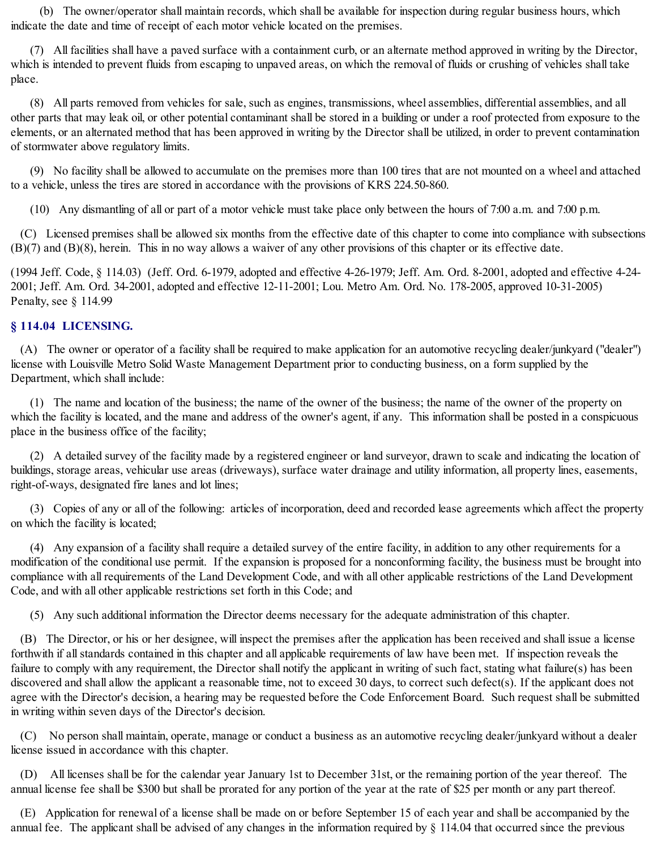(b) The owner/operator shall maintain records, which shall be available for inspection during regular business hours, which indicate the date and time of receipt of each motor vehicle located on the premises.

(7) All facilities shall have a paved surface with a containment curb, or an alternate method approved in writing by the Director, which is intended to prevent fluids from escaping to unpaved areas, on which the removal of fluids or crushing of vehicles shall take place.

(8) All parts removed from vehicles for sale, such as engines, transmissions, wheel assemblies, differential assemblies, and all other parts that may leak oil, or other potential contaminant shall be stored in a building or under a roof protected from exposure to the elements, or an alternated method that has been approved in writing by the Director shall be utilized, in order to prevent contamination of stormwater above regulatory limits.

(9) No facility shall be allowed to accumulate on the premises more than 100 tires that are not mounted on a wheel and attached to a vehicle, unless the tires are stored in accordance with the provisions of KRS 224.50-860.

(10) Any dismantling of all or part of a motor vehicle must take place only between the hours of 7:00 a.m. and 7:00 p.m.

(C) Licensed premises shall be allowed six months from the effective date of this chapter to come into compliance with subsections (B)(7) and (B)(8), herein. This in no way allows a waiver of any other provisions of this chapter or its effective date.

(1994 Jeff. Code, § 114.03) (Jeff. Ord. 6-1979, adopted and effective 4-26-1979; Jeff. Am. Ord. 8-2001, adopted and effective 4-24- 2001; Jeff. Am. Ord. 34-2001, adopted and effective 12-11-2001; Lou. Metro Am. Ord. No. 178-2005, approved 10-31-2005) Penalty, see § 114.99

### **§ 114.04 LICENSING.**

(A) The owner or operator of a facility shall be required to make application for an automotive recycling dealer/junkyard ("dealer") license with Louisville Metro Solid Waste Management Department prior to conducting business, on a form supplied by the Department, which shall include:

(1) The name and location of the business; the name of the owner of the business; the name of the owner of the property on which the facility is located, and the mane and address of the owner's agent, if any. This information shall be posted in a conspicuous place in the business office of the facility;

(2) A detailed survey of the facility made by a registered engineer or land surveyor, drawn to scale and indicating the location of buildings, storage areas, vehicular use areas (driveways), surface water drainage and utility information, all property lines, easements, right-of-ways, designated fire lanes and lot lines;

(3) Copies of any or all of the following: articles of incorporation, deed and recorded lease agreements which affect the property on which the facility is located;

(4) Any expansion of a facility shall require a detailed survey of the entire facility, in addition to any other requirements for a modification of the conditional use permit. If the expansion is proposed for a nonconforming facility, the business must be brought into compliance with all requirements of the Land Development Code, and with all other applicable restrictions of the Land Development Code, and with all other applicable restrictions set forth in this Code; and

(5) Any such additional information the Director deems necessary for the adequate administration of this chapter.

(B) The Director, or his or her designee, will inspect the premises after the application has been received and shall issue a license forthwith if all standards contained in this chapter and all applicable requirements of law have been met. If inspection reveals the failure to comply with any requirement, the Director shall notify the applicant in writing of such fact, stating what failure(s) has been discovered and shall allow the applicant a reasonable time, not to exceed 30 days, to correct such defect(s). If the applicant does not agree with the Director's decision, a hearing may be requested before the Code Enforcement Board. Such request shall be submitted in writing within seven days of the Director's decision.

(C) No person shall maintain, operate, manage or conduct a business as an automotive recycling dealer/junkyard without a dealer license issued in accordance with this chapter.

(D) All licenses shall be for the calendar year January 1st to December 31st, or the remaining portion of the year thereof. The annual license fee shall be \$300 but shall be prorated for any portion of the year at the rate of \$25 per month or any part thereof.

(E) Application for renewal of a license shall be made on or before September 15 of each year and shall be accompanied by the annual fee. The applicant shall be advised of any changes in the information required by § 114.04 that occurred since the previous